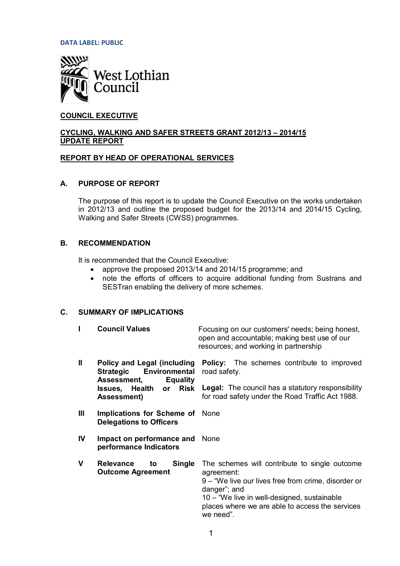**DATA LABEL: PUBLIC**



# **COUNCIL EXECUTIVE**

## **CYCLING, WALKING AND SAFER STREETS GRANT 2012/13 – 2014/15 UPDATE REPORT**

### **REPORT BY HEAD OF OPERATIONAL SERVICES**

### **A. PURPOSE OF REPORT**

The purpose of this report is to update the Council Executive on the works undertaken in 2012/13 and outline the proposed budget for the 2013/14 and 2014/15 Cycling, Walking and Safer Streets (CWSS) programmes.

## **B. RECOMMENDATION**

It is recommended that the Council Executive:

- approve the proposed 2013/14 and 2014/15 programme; and
- note the efforts of officers to acquire additional funding from Sustrans and SESTran enabling the delivery of more schemes.

### **C. SUMMARY OF IMPLICATIONS**

|     | <b>Council Values</b>                                                                              | Focusing on our customers' needs; being honest,<br>open and accountable; making best use of our<br>resources; and working in partnership                                                                                                          |  |  |
|-----|----------------------------------------------------------------------------------------------------|---------------------------------------------------------------------------------------------------------------------------------------------------------------------------------------------------------------------------------------------------|--|--|
| Ш   | Policy and Legal (including<br>Environmental<br><b>Strategic</b><br>Assessment,<br><b>Equality</b> | <b>Policy:</b> The schemes contribute to improved<br>road safety.                                                                                                                                                                                 |  |  |
|     | Issues, Health<br>Risk<br>or<br><b>Assessment</b> )                                                | <b>Legal:</b> The council has a statutory responsibility<br>for road safety under the Road Traffic Act 1988.                                                                                                                                      |  |  |
| III | Implications for Scheme of None<br><b>Delegations to Officers</b>                                  |                                                                                                                                                                                                                                                   |  |  |
| IV  | Impact on performance and None<br>performance Indicators                                           |                                                                                                                                                                                                                                                   |  |  |
| v   | <b>Relevance</b><br><b>Single</b><br>to<br><b>Outcome Agreement</b>                                | The schemes will contribute to single outcome<br>agreement:<br>9 – "We live our lives free from crime, disorder or<br>danger"; and<br>10 – "We live in well-designed, sustainable<br>places where we are able to access the services<br>we need". |  |  |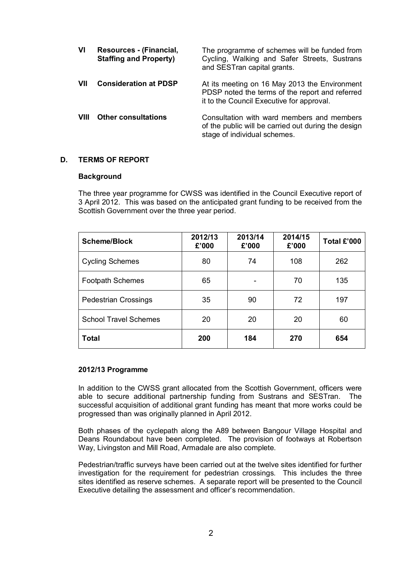| VI   | Resources - (Financial,<br><b>Staffing and Property)</b> | The programme of schemes will be funded from<br>Cycling, Walking and Safer Streets, Sustrans<br>and SESTran capital grants.                   |
|------|----------------------------------------------------------|-----------------------------------------------------------------------------------------------------------------------------------------------|
| VII  | <b>Consideration at PDSP</b>                             | At its meeting on 16 May 2013 the Environment<br>PDSP noted the terms of the report and referred<br>it to the Council Executive for approval. |
| VIII | <b>Other consultations</b>                               | Consultation with ward members and members<br>of the public will be carried out during the design<br>stage of individual schemes.             |

## **D. TERMS OF REPORT**

#### **Background**

The three year programme for CWSS was identified in the Council Executive report of 3 April 2012. This was based on the anticipated grant funding to be received from the Scottish Government over the three year period.

| <b>Scheme/Block</b>          | 2012/13<br>£'000 | 2013/14<br>£'000 | 2014/15<br>£'000 | Total £'000 |
|------------------------------|------------------|------------------|------------------|-------------|
| <b>Cycling Schemes</b>       | 80               | 74               | 108              | 262         |
| <b>Footpath Schemes</b>      | 65               |                  | 70               | 135         |
| <b>Pedestrian Crossings</b>  | 35               | 90               | 72               | 197         |
| <b>School Travel Schemes</b> | 20               | 20               | 20               | 60          |
| <b>Total</b>                 | 200              | 184              | 270              | 654         |

#### **2012/13 Programme**

In addition to the CWSS grant allocated from the Scottish Government, officers were able to secure additional partnership funding from Sustrans and SESTran. The successful acquisition of additional grant funding has meant that more works could be progressed than was originally planned in April 2012.

Both phases of the cyclepath along the A89 between Bangour Village Hospital and Deans Roundabout have been completed. The provision of footways at Robertson Way, Livingston and Mill Road, Armadale are also complete.

Pedestrian/traffic surveys have been carried out at the twelve sites identified for further investigation for the requirement for pedestrian crossings. This includes the three sites identified as reserve schemes. A separate report will be presented to the Council Executive detailing the assessment and officer's recommendation.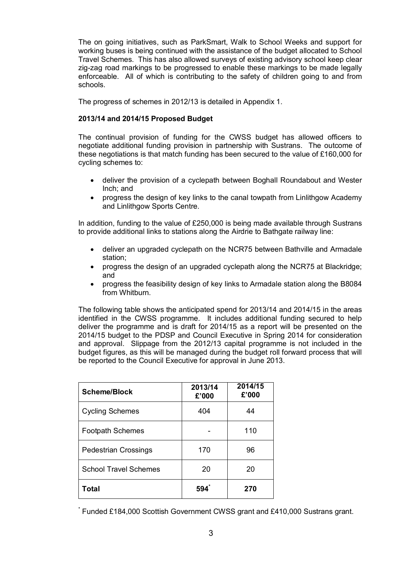The on going initiatives, such as ParkSmart, Walk to School Weeks and support for working buses is being continued with the assistance of the budget allocated to School Travel Schemes. This has also allowed surveys of existing advisory school keep clear zig-zag road markings to be progressed to enable these markings to be made legally enforceable. All of which is contributing to the safety of children going to and from schools.

The progress of schemes in 2012/13 is detailed in Appendix 1.

# **2013/14 and 2014/15 Proposed Budget**

The continual provision of funding for the CWSS budget has allowed officers to negotiate additional funding provision in partnership with Sustrans. The outcome of these negotiations is that match funding has been secured to the value of £160,000 for cycling schemes to:

- deliver the provision of a cyclepath between Boghall Roundabout and Wester Inch; and
- progress the design of key links to the canal towpath from Linlithgow Academy and Linlithgow Sports Centre.

In addition, funding to the value of £250,000 is being made available through Sustrans to provide additional links to stations along the Airdrie to Bathgate railway line:

- deliver an upgraded cyclepath on the NCR75 between Bathville and Armadale station;
- progress the design of an upgraded cyclepath along the NCR75 at Blackridge; and
- x progress the feasibility design of key links to Armadale station along the B8084 from Whitburn.

The following table shows the anticipated spend for 2013/14 and 2014/15 in the areas identified in the CWSS programme. It includes additional funding secured to help deliver the programme and is draft for 2014/15 as a report will be presented on the 2014/15 budget to the PDSP and Council Executive in Spring 2014 for consideration and approval. Slippage from the 2012/13 capital programme is not included in the budget figures, as this will be managed during the budget roll forward process that will be reported to the Council Executive for approval in June 2013.

| Scheme/Block                 | 2013/14<br>£'000 | 2014/15<br>£'000 |
|------------------------------|------------------|------------------|
| <b>Cycling Schemes</b>       | 404              | 44               |
| <b>Footpath Schemes</b>      |                  | 110              |
| <b>Pedestrian Crossings</b>  | 170              | 96               |
| <b>School Travel Schemes</b> | 20               | 20               |
| <b>Total</b>                 | 594              | 270              |

\* Funded £184,000 Scottish Government CWSS grant and £410,000 Sustrans grant.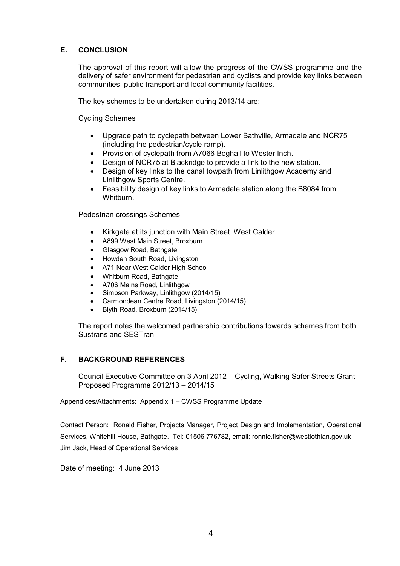# **E. CONCLUSION**

The approval of this report will allow the progress of the CWSS programme and the delivery of safer environment for pedestrian and cyclists and provide key links between communities, public transport and local community facilities.

The key schemes to be undertaken during 2013/14 are:

## Cycling Schemes

- Upgrade path to cyclepath between Lower Bathville, Armadale and NCR75 (including the pedestrian/cycle ramp).
- Provision of cyclepath from A7066 Boghall to Wester Inch.
- Design of NCR75 at Blackridge to provide a link to the new station.
- Design of key links to the canal towpath from Linlithgow Academy and Linlithgow Sports Centre.
- Feasibility design of key links to Armadale station along the B8084 from Whitburn.

### Pedestrian crossings Schemes

- Kirkgate at its junction with Main Street, West Calder
- A899 West Main Street, Broxburn
- Glasgow Road, Bathgate
- Howden South Road, Livingston
- A71 Near West Calder High School
- Whitburn Road, Bathgate
- A706 Mains Road, Linlithgow
- Simpson Parkway, Linlithgow (2014/15)
- Carmondean Centre Road, Livingston (2014/15)
- Blyth Road, Broxburn (2014/15)

The report notes the welcomed partnership contributions towards schemes from both Sustrans and SESTran.

## **F. BACKGROUND REFERENCES**

Council Executive Committee on 3 April 2012 – Cycling, Walking Safer Streets Grant Proposed Programme 2012/13 – 2014/15

Appendices/Attachments: Appendix 1 – CWSS Programme Update

Contact Person: Ronald Fisher, Projects Manager, Project Design and Implementation, Operational Services, Whitehill House, Bathgate. Tel: 01506 776782, email: [ronnie.fisher@westlothian.gov.uk](mailto:ronnie.fisher@westlothian.gov.uk) Jim Jack, Head of Operational Services

Date of meeting: 4 June 2013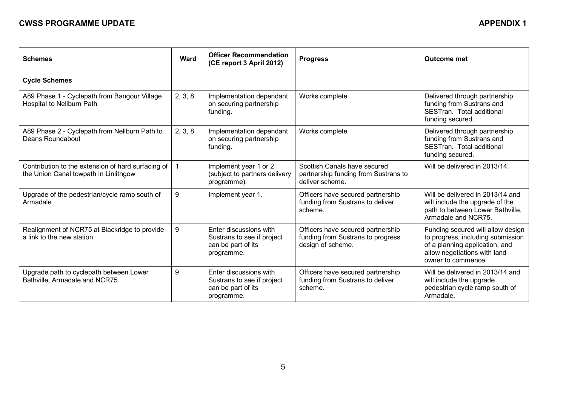# **CWSS PROGRAMME UPDATE APPENDIX 1**

| <b>Schemes</b>                                                                              | <b>Ward</b> | <b>Officer Recommendation</b><br>(CE report 3 April 2012)                                | <b>Progress</b>                                                                             | <b>Outcome met</b>                                                                                                                                             |
|---------------------------------------------------------------------------------------------|-------------|------------------------------------------------------------------------------------------|---------------------------------------------------------------------------------------------|----------------------------------------------------------------------------------------------------------------------------------------------------------------|
| <b>Cycle Schemes</b>                                                                        |             |                                                                                          |                                                                                             |                                                                                                                                                                |
| A89 Phase 1 - Cyclepath from Bangour Village<br>Hospital to Nellburn Path                   | 2, 3, 8     | Implementation dependant<br>on securing partnership<br>funding.                          | Works complete                                                                              | Delivered through partnership<br>funding from Sustrans and<br>SESTran. Total additional<br>funding secured.                                                    |
| A89 Phase 2 - Cyclepath from Nellburn Path to<br>Deans Roundabout                           | 2, 3, 8     | Implementation dependant<br>on securing partnership<br>funding.                          | Works complete                                                                              | Delivered through partnership<br>funding from Sustrans and<br>SESTran. Total additional<br>funding secured.                                                    |
| Contribution to the extension of hard surfacing of<br>the Union Canal towpath in Linlithgow | $\mathbf 1$ | Implement year 1 or 2<br>(subject to partners delivery<br>programme).                    | Scottish Canals have secured<br>partnership funding from Sustrans to<br>deliver scheme.     | Will be delivered in 2013/14.                                                                                                                                  |
| Upgrade of the pedestrian/cycle ramp south of<br>Armadale                                   | 9           | Implement year 1.                                                                        | Officers have secured partnership<br>funding from Sustrans to deliver<br>scheme.            | Will be delivered in 2013/14 and<br>will include the upgrade of the<br>path to between Lower Bathville,<br>Armadale and NCR75.                                 |
| Realignment of NCR75 at Blackridge to provide<br>a link to the new station                  | 9           | Enter discussions with<br>Sustrans to see if project<br>can be part of its<br>programme. | Officers have secured partnership<br>funding from Sustrans to progress<br>design of scheme. | Funding secured will allow design<br>to progress, including submission<br>of a planning application, and<br>allow negotiations with land<br>owner to commence. |
| Upgrade path to cyclepath between Lower<br>Bathville, Armadale and NCR75                    | 9           | Enter discussions with<br>Sustrans to see if project<br>can be part of its<br>programme. | Officers have secured partnership<br>funding from Sustrans to deliver<br>scheme.            | Will be delivered in 2013/14 and<br>will include the upgrade<br>pedestrian cycle ramp south of<br>Armadale.                                                    |